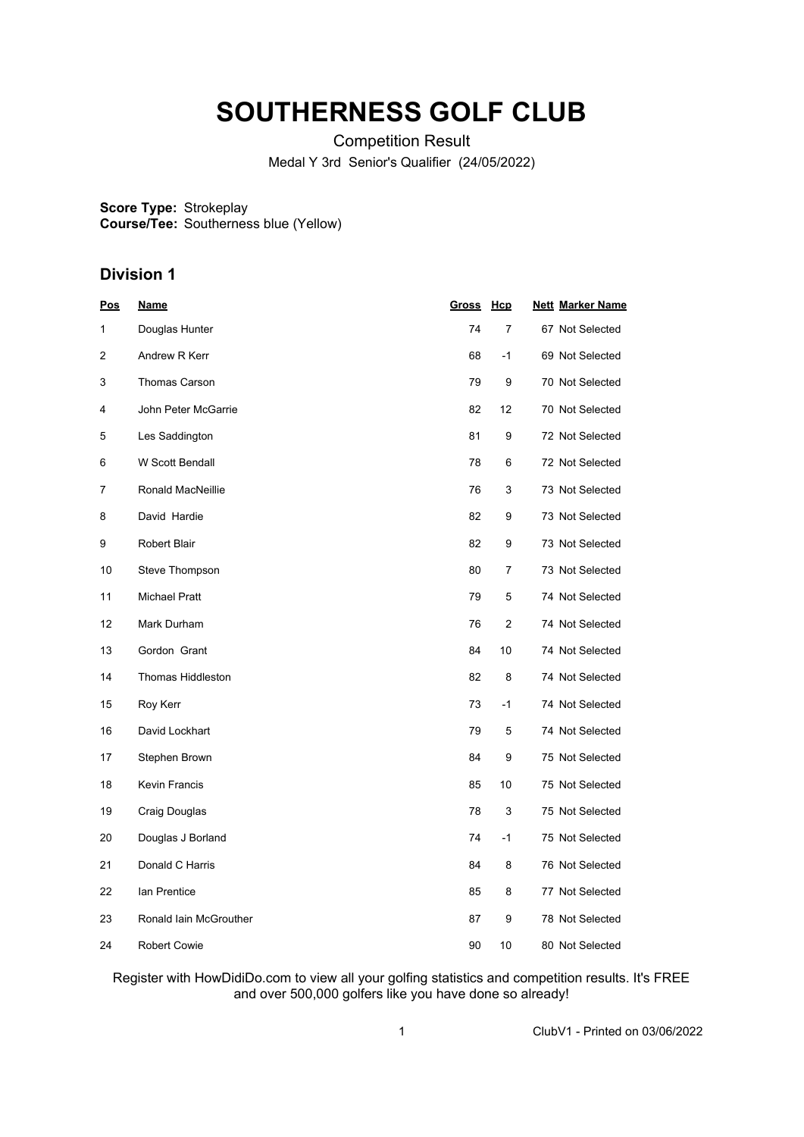# **SOUTHERNESS GOLF CLUB**

Competition Result Medal Y 3rd Senior's Qualifier (24/05/2022)

**Score Type: Course/Tee:** Strokeplay Southerness blue (Yellow)

## **Division 1**

| <u>Pos</u> | <u>Name</u>              | <b>Gross</b> | <u>Hcp</u>     | <b>Nett Marker Name</b> |
|------------|--------------------------|--------------|----------------|-------------------------|
| 1          | Douglas Hunter           | 74           | $\overline{7}$ | 67 Not Selected         |
| 2          | Andrew R Kerr            | 68           | $-1$           | 69 Not Selected         |
| 3          | <b>Thomas Carson</b>     | 79           | 9              | 70 Not Selected         |
| 4          | John Peter McGarrie      | 82           | 12             | 70 Not Selected         |
| 5          | Les Saddington           | 81           | 9              | 72 Not Selected         |
| 6          | W Scott Bendall          | 78           | 6              | 72 Not Selected         |
| 7          | Ronald MacNeillie        | 76           | 3              | 73 Not Selected         |
| 8          | David Hardie             | 82           | 9              | 73 Not Selected         |
| 9          | <b>Robert Blair</b>      | 82           | 9              | 73 Not Selected         |
| 10         | Steve Thompson           | 80           | $\overline{7}$ | 73 Not Selected         |
| 11         | <b>Michael Pratt</b>     | 79           | 5              | 74 Not Selected         |
| 12         | Mark Durham              | 76           | 2              | 74 Not Selected         |
| 13         | Gordon Grant             | 84           | 10             | 74 Not Selected         |
| 14         | <b>Thomas Hiddleston</b> | 82           | 8              | 74 Not Selected         |
| 15         | Roy Kerr                 | 73           | $-1$           | 74 Not Selected         |
| 16         | David Lockhart           | 79           | 5              | 74 Not Selected         |
| 17         | Stephen Brown            | 84           | 9              | 75 Not Selected         |
| 18         | <b>Kevin Francis</b>     | 85           | 10             | 75 Not Selected         |
| 19         | Craig Douglas            | 78           | 3              | 75 Not Selected         |
| 20         | Douglas J Borland        | 74           | $-1$           | 75 Not Selected         |
| 21         | Donald C Harris          | 84           | 8              | 76 Not Selected         |
| 22         | lan Prentice             | 85           | 8              | 77 Not Selected         |
| 23         | Ronald Iain McGrouther   | 87           | 9              | 78 Not Selected         |
| 24         | <b>Robert Cowie</b>      | 90           | 10             | 80 Not Selected         |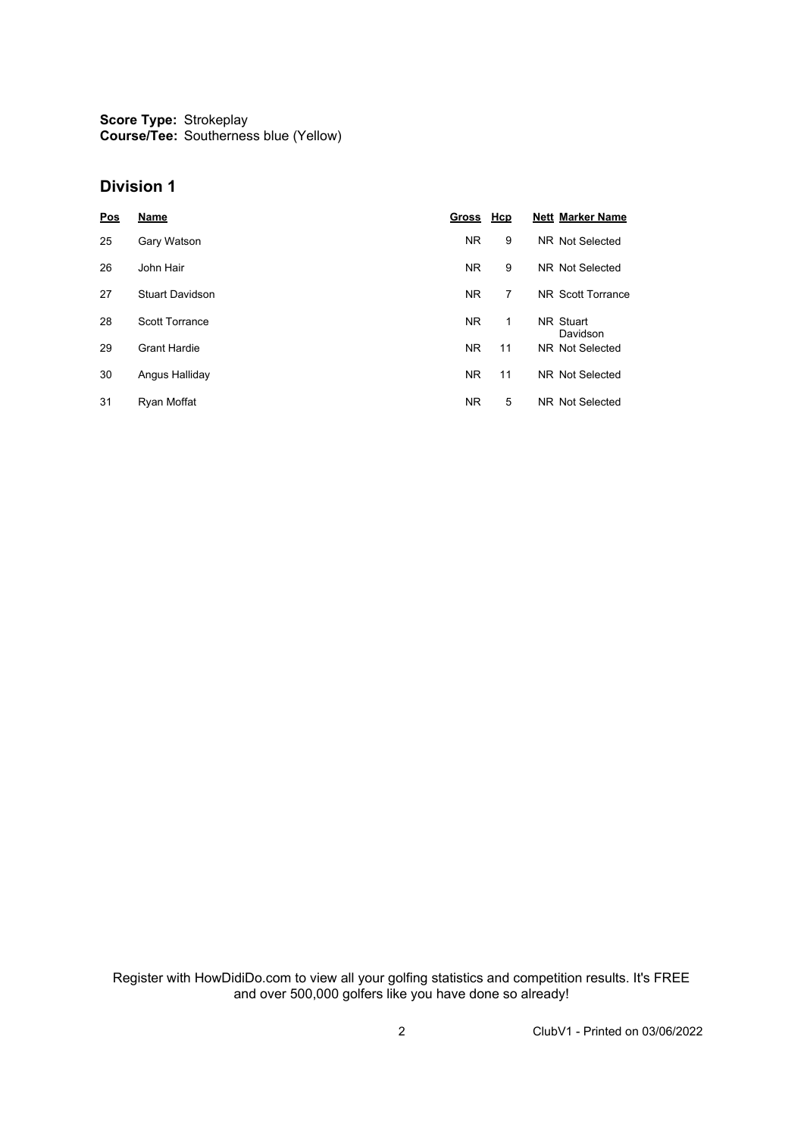**Score Type: Course/Tee:** Strokeplay Southerness blue (Yellow)

#### **Division 1**

| <b>Pos</b> | Name                   | Gross Hcp |    | <b>Nett Marker Name</b> |
|------------|------------------------|-----------|----|-------------------------|
| 25         | Gary Watson            | <b>NR</b> | 9  | NR Not Selected         |
| 26         | John Hair              | <b>NR</b> | 9  | NR Not Selected         |
| 27         | <b>Stuart Davidson</b> | <b>NR</b> | 7  | NR Scott Torrance       |
| 28         | <b>Scott Torrance</b>  | <b>NR</b> | 1  | NR Stuart<br>Davidson   |
| 29         | <b>Grant Hardie</b>    | <b>NR</b> | 11 | NR Not Selected         |
| 30         | Angus Halliday         | <b>NR</b> | 11 | NR Not Selected         |
| 31         | Ryan Moffat            | <b>NR</b> | 5  | NR Not Selected         |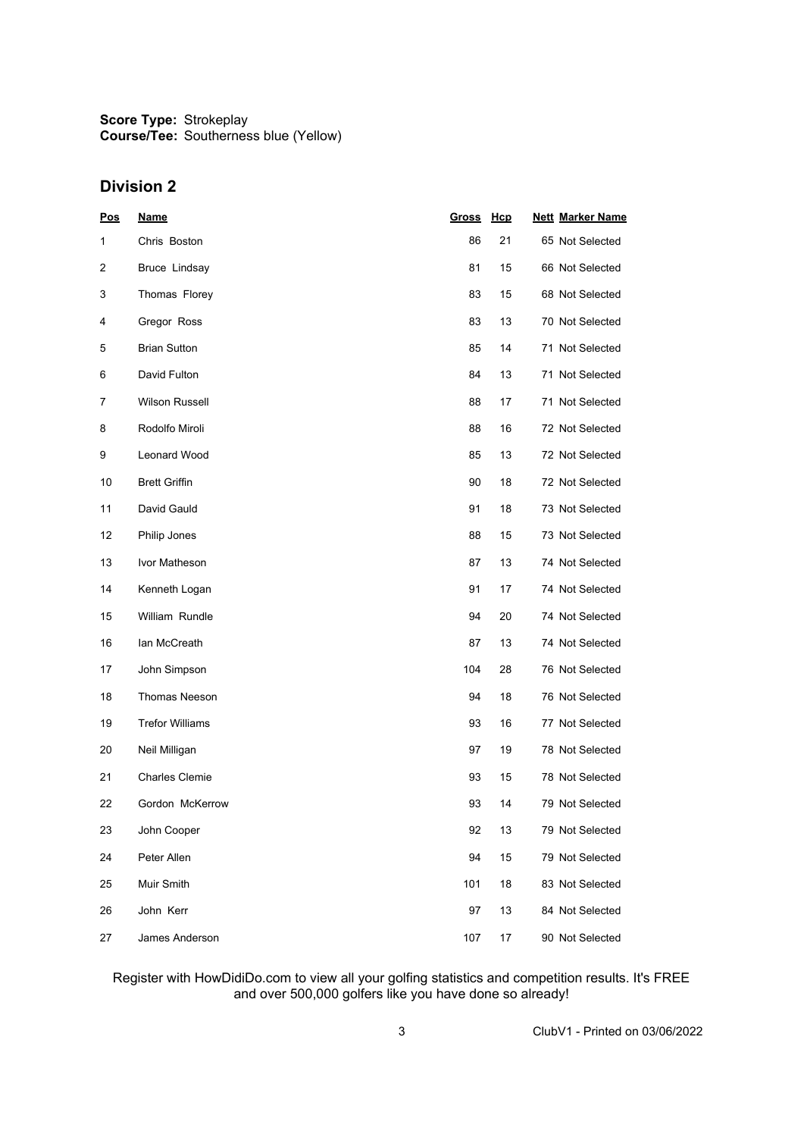**Score Type: Course/Tee:** Strokeplay Southerness blue (Yellow)

## **Division 2**

| Pos | <b>Name</b>            | <u>Gross</u> | <b>Hcp</b> | <b>Nett Marker Name</b> |
|-----|------------------------|--------------|------------|-------------------------|
| 1   | Chris Boston           | 86           | 21         | 65 Not Selected         |
| 2   | Bruce Lindsay          | 81           | 15         | 66 Not Selected         |
| 3   | Thomas Florey          | 83           | 15         | 68 Not Selected         |
| 4   | Gregor Ross            | 83           | 13         | 70 Not Selected         |
| 5   | <b>Brian Sutton</b>    | 85           | 14         | 71 Not Selected         |
| 6   | David Fulton           | 84           | 13         | 71 Not Selected         |
| 7   | <b>Wilson Russell</b>  | 88           | 17         | 71 Not Selected         |
| 8   | Rodolfo Miroli         | 88           | 16         | 72 Not Selected         |
| 9   | Leonard Wood           | 85           | 13         | 72 Not Selected         |
| 10  | <b>Brett Griffin</b>   | 90           | 18         | 72 Not Selected         |
| 11  | David Gauld            | 91           | 18         | 73 Not Selected         |
| 12  | Philip Jones           | 88           | 15         | 73 Not Selected         |
| 13  | Ivor Matheson          | 87           | 13         | 74 Not Selected         |
| 14  | Kenneth Logan          | 91           | 17         | 74 Not Selected         |
| 15  | William Rundle         | 94           | 20         | 74 Not Selected         |
| 16  | lan McCreath           | 87           | 13         | 74 Not Selected         |
| 17  | John Simpson           | 104          | 28         | 76 Not Selected         |
| 18  | <b>Thomas Neeson</b>   | 94           | 18         | 76 Not Selected         |
| 19  | <b>Trefor Williams</b> | 93           | 16         | 77 Not Selected         |
| 20  | Neil Milligan          | 97           | 19         | 78 Not Selected         |
| 21  | <b>Charles Clemie</b>  | 93           | 15         | 78 Not Selected         |
| 22  | Gordon McKerrow        | 93           | 14         | 79 Not Selected         |
| 23  | John Cooper            | 92           | 13         | 79 Not Selected         |
| 24  | Peter Allen            | 94           | 15         | 79 Not Selected         |
| 25  | Muir Smith             | 101          | 18         | 83 Not Selected         |
| 26  | John Kerr              | 97           | 13         | 84 Not Selected         |
| 27  | James Anderson         | 107          | 17         | 90 Not Selected         |